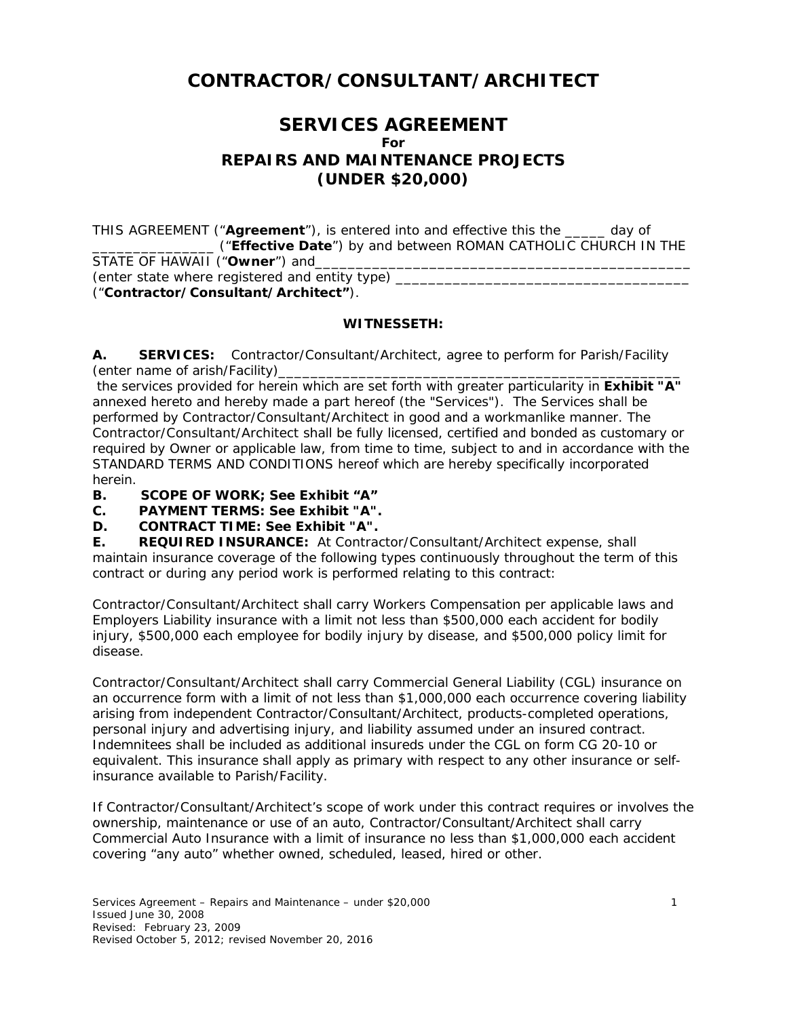# **CONTRACTOR/CONSULTANT/ARCHITECT**

# **SERVICES AGREEMENT For REPAIRS AND MAINTENANCE PROJECTS (UNDER \$20,000)**

THIS AGREEMENT ("**Agreement**"), is entered into and effective this the \_\_\_\_\_ day of \_\_\_\_\_\_\_\_\_\_\_\_\_\_\_ ("**Effective Date**") by and between ROMAN CATHOLIC CHURCH IN THE STATE OF HAWAII ("Owner") and (*enter state where registered and entity type)* \_\_\_\_\_\_\_\_\_\_\_\_\_\_\_\_\_\_\_\_\_\_\_\_\_\_\_\_\_\_\_\_\_\_\_\_ ("**Contractor/Consultant/Architect"**).

### **WITNESSETH:**

**A. SERVICES:** Contractor/Consultant/Architect, agree to perform for Parish/Facility (*enter name of arish/Facility)*\_\_\_\_\_\_\_\_\_\_\_\_\_\_\_\_\_\_\_\_\_\_\_\_\_\_\_\_\_\_\_\_\_\_\_\_\_\_\_\_\_\_\_\_\_\_\_\_\_\_

 the services provided for herein which are set forth with greater particularity in **Exhibit "A"** annexed hereto and hereby made a part hereof (the "Services"). The Services shall be performed by Contractor/Consultant/Architect in good and a workmanlike manner. The Contractor/Consultant/Architect shall be fully licensed, certified and bonded as customary or required by Owner or applicable law, from time to time, subject to and in accordance with the STANDARD TERMS AND CONDITIONS hereof which are hereby specifically incorporated herein.

**B. SCOPE OF WORK; See Exhibit "A"** 

**C. PAYMENT TERMS: See Exhibit "A".** 

**D. CONTRACT TIME: See Exhibit "A".** 

**E. REQUIRED INSURANCE:** At Contractor/Consultant/Architect expense, shall maintain insurance coverage of the following types continuously throughout the term of this contract or during any period work is performed relating to this contract:

Contractor/Consultant/Architect shall carry Workers Compensation per applicable laws and Employers Liability insurance with a limit not less than \$500,000 each accident for bodily injury, \$500,000 each employee for bodily injury by disease, and \$500,000 policy limit for disease.

Contractor/Consultant/Architect shall carry Commercial General Liability (CGL) insurance on an occurrence form with a limit of not less than \$1,000,000 each occurrence covering liability arising from independent Contractor/Consultant/Architect, products-completed operations, personal injury and advertising injury, and liability assumed under an insured contract. Indemnitees shall be included as additional insureds under the CGL on form CG 20-10 or equivalent. This insurance shall apply as primary with respect to any other insurance or selfinsurance available to Parish/Facility.

If Contractor/Consultant/Architect's scope of work under this contract requires or involves the ownership, maintenance or use of an auto, Contractor/Consultant/Architect shall carry Commercial Auto Insurance with a limit of insurance no less than \$1,000,000 each accident covering "any auto" whether owned, scheduled, leased, hired or other.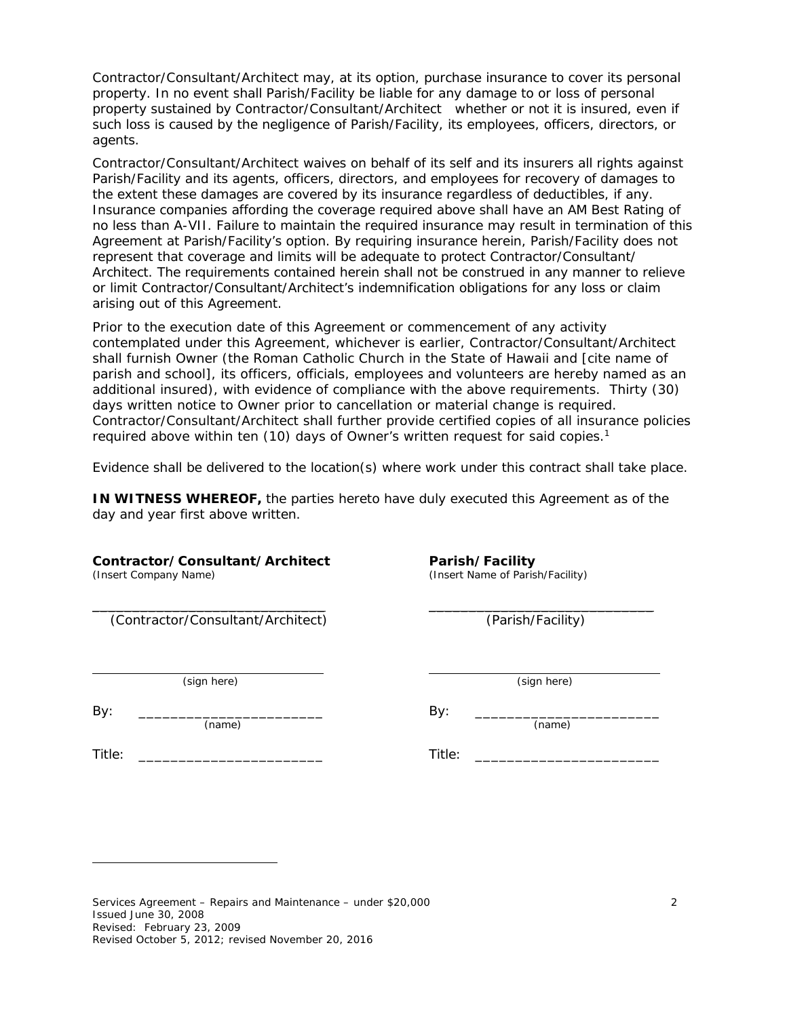Contractor/Consultant/Architect may, at its option, purchase insurance to cover its personal property. In no event shall Parish/Facility be liable for any damage to or loss of personal property sustained by Contractor/Consultant/Architect whether or not it is insured, even if such loss is caused by the negligence of Parish/Facility, its employees, officers, directors, or agents.

Contractor/Consultant/Architect waives on behalf of its self and its insurers all rights against Parish/Facility and its agents, officers, directors, and employees for recovery of damages to the extent these damages are covered by its insurance regardless of deductibles, if any. Insurance companies affording the coverage required above shall have an AM Best Rating of no less than A-VII. Failure to maintain the required insurance may result in termination of this Agreement at Parish/Facility's option. By requiring insurance herein, Parish/Facility does not represent that coverage and limits will be adequate to protect Contractor/Consultant/ Architect. The requirements contained herein shall not be construed in any manner to relieve or limit Contractor/Consultant/Architect's indemnification obligations for any loss or claim arising out of this Agreement.

Prior to the execution date of this Agreement or commencement of any activity contemplated under this Agreement, whichever is earlier, Contractor/Consultant/Architect shall furnish Owner (the Roman Catholic Church in the State of Hawaii and [*cite name of parish and school*], its officers, officials, employees and volunteers are hereby named as an additional insured), with evidence of compliance with the above requirements. Thirty (30) days written notice to Owner prior to cancellation or material change is required. Contractor/Consultant/Architect shall further provide certified copies of all insurance policies required above within ten (10) days of Owner's written request for said copies.<sup>1</sup>

Evidence shall be delivered to the location(s) where work under this contract shall take place.

Title: \_\_\_\_\_\_\_\_\_\_\_\_\_\_\_\_\_\_\_\_\_\_\_

**IN WITNESS WHEREOF,** the parties hereto have duly executed this Agreement as of the day and year first above written.

#### **Contractor/Consultant/Architect**

(Insert Company Name)

\_\_\_\_\_\_\_\_\_\_\_\_\_\_\_\_\_\_\_\_\_\_\_\_\_\_\_\_\_ (Contractor/Consultant/Architect)

(sign here)

(name)

By: \_\_\_\_\_\_\_\_\_\_\_\_\_\_\_\_\_\_\_\_\_\_\_

l

Title: \_\_\_\_\_\_\_\_\_\_\_\_\_\_\_\_\_\_\_\_\_\_\_

**Parish/Facility**  (Insert Name of Parish/Facility)

\_\_\_\_\_\_\_\_\_\_\_\_\_\_\_\_\_\_\_\_\_\_\_\_\_\_\_\_ (Parish/Facility)

(sign here)

By: \_\_\_\_\_\_\_\_\_\_\_\_\_\_\_\_\_\_\_\_\_\_\_ (name)

Services Agreement – Repairs and Maintenance – under \$20,000 2 Issued June 30, 2008 Revised: February 23, 2009 Revised October 5, 2012; revised November 20, 2016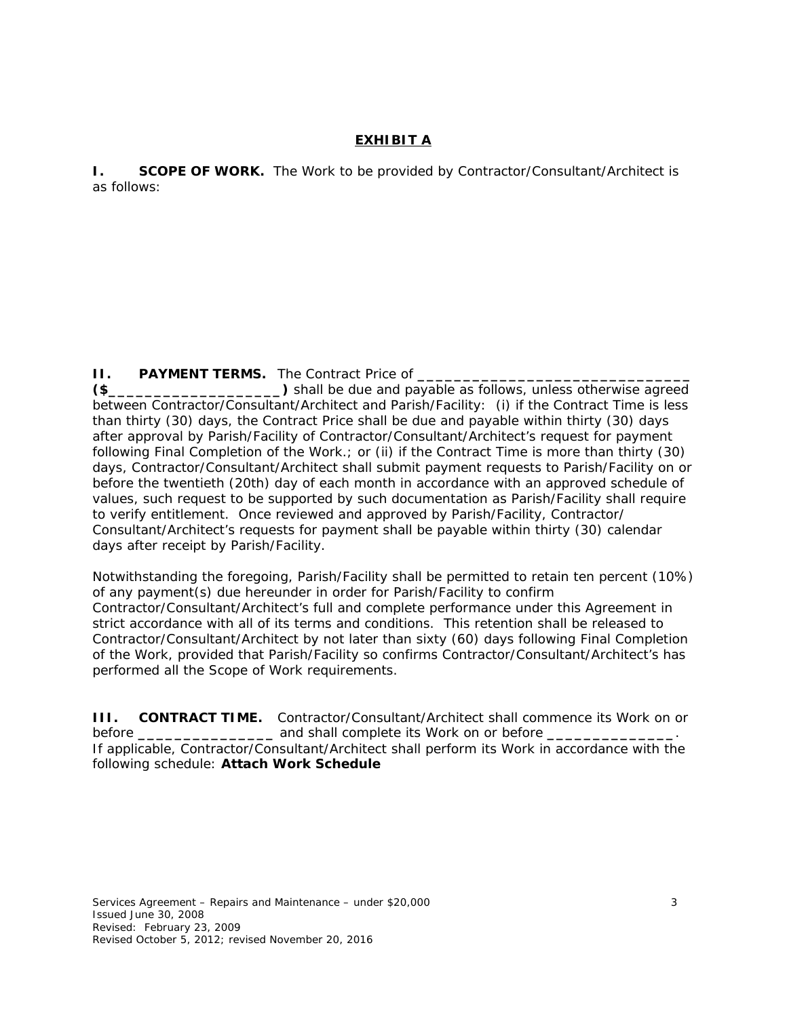# **EXHIBIT A**

**I.** SCOPE OF WORK. The Work to be provided by Contractor/Consultant/Architect is as follows:

**II. PAYMENT TERMS.** The Contract Price of **\_\_\_\_\_\_\_\_\_\_\_\_\_\_\_\_\_\_\_\_\_\_\_\_\_\_\_\_\_\_** 

**(\$\_\_\_\_\_\_\_\_\_\_\_\_\_\_\_\_\_\_\_)** shall be due and payable as follows, unless otherwise agreed between Contractor/Consultant/Architect and Parish/Facility: (i) if the Contract Time is less than thirty (30) days, the Contract Price shall be due and payable within thirty (30) days after approval by Parish/Facility of Contractor/Consultant/Architect's request for payment following Final Completion of the Work.; or (ii) if the Contract Time is more than thirty (30) days, Contractor/Consultant/Architect shall submit payment requests to Parish/Facility on or before the twentieth (20th) day of each month in accordance with an approved schedule of values, such request to be supported by such documentation as Parish/Facility shall require to verify entitlement. Once reviewed and approved by Parish/Facility, Contractor/ Consultant/Architect's requests for payment shall be payable within thirty (30) calendar days after receipt by Parish/Facility.

Notwithstanding the foregoing, Parish/Facility shall be permitted to retain ten percent (10%) of any payment(s) due hereunder in order for Parish/Facility to confirm Contractor/Consultant/Architect's full and complete performance under this Agreement in strict accordance with all of its terms and conditions. This retention shall be released to Contractor/Consultant/Architect by not later than sixty (60) days following Final Completion of the Work, provided that Parish/Facility so confirms Contractor/Consultant/Architect's has performed all the Scope of Work requirements.

**III. CONTRACT TIME.** Contractor/Consultant/Architect shall commence its Work on or before **\_\_\_\_\_\_\_\_\_\_\_\_\_\_\_** and shall complete its Work on or before **\_\_\_\_\_\_\_\_\_\_\_\_\_\_**.

If applicable, Contractor/Consultant/Architect shall perform its Work in accordance with the following schedule: **Attach Work Schedule**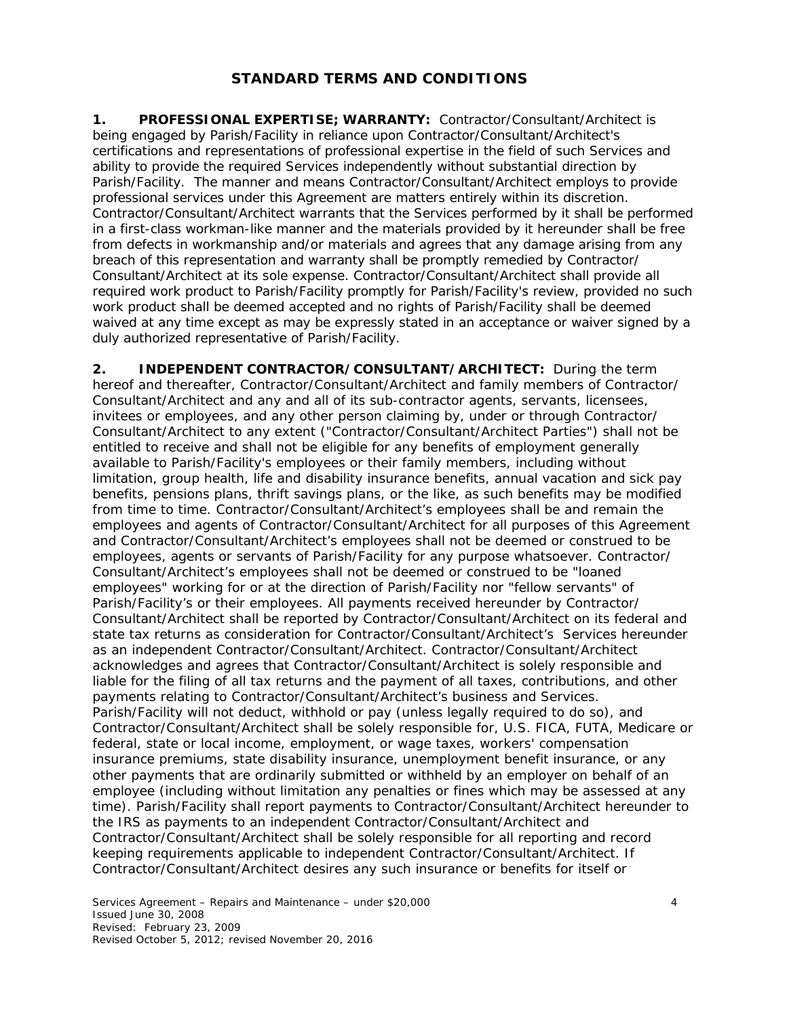# **STANDARD TERMS AND CONDITIONS**

**1. PROFESSIONAL EXPERTISE; WARRANTY:** Contractor/Consultant/Architect is being engaged by Parish/Facility in reliance upon Contractor/Consultant/Architect's certifications and representations of professional expertise in the field of such Services and ability to provide the required Services independently without substantial direction by Parish/Facility. The manner and means Contractor/Consultant/Architect employs to provide professional services under this Agreement are matters entirely within its discretion. Contractor/Consultant/Architect warrants that the Services performed by it shall be performed in a first-class workman-like manner and the materials provided by it hereunder shall be free from defects in workmanship and/or materials and agrees that any damage arising from any breach of this representation and warranty shall be promptly remedied by Contractor/ Consultant/Architect at its sole expense. Contractor/Consultant/Architect shall provide all required work product to Parish/Facility promptly for Parish/Facility's review, provided no such work product shall be deemed accepted and no rights of Parish/Facility shall be deemed waived at any time except as may be expressly stated in an acceptance or waiver signed by a duly authorized representative of Parish/Facility.

**2. INDEPENDENT CONTRACTOR/CONSULTANT/ARCHITECT:** During the term hereof and thereafter, Contractor/Consultant/Architect and family members of Contractor/ Consultant/Architect and any and all of its sub-contractor agents, servants, licensees, invitees or employees, and any other person claiming by, under or through Contractor/ Consultant/Architect to any extent ("Contractor/Consultant/Architect Parties") shall not be entitled to receive and shall not be eligible for any benefits of employment generally available to Parish/Facility's employees or their family members, including without limitation, group health, life and disability insurance benefits, annual vacation and sick pay benefits, pensions plans, thrift savings plans, or the like, as such benefits may be modified from time to time. Contractor/Consultant/Architect's employees shall be and remain the employees and agents of Contractor/Consultant/Architect for all purposes of this Agreement and Contractor/Consultant/Architect's employees shall not be deemed or construed to be employees, agents or servants of Parish/Facility for any purpose whatsoever. Contractor/ Consultant/Architect's employees shall not be deemed or construed to be "loaned employees" working for or at the direction of Parish/Facility nor "fellow servants" of Parish/Facility's or their employees. All payments received hereunder by Contractor/ Consultant/Architect shall be reported by Contractor/Consultant/Architect on its federal and state tax returns as consideration for Contractor/Consultant/Architect's Services hereunder as an independent Contractor/Consultant/Architect. Contractor/Consultant/Architect acknowledges and agrees that Contractor/Consultant/Architect is solely responsible and liable for the filing of all tax returns and the payment of all taxes, contributions, and other payments relating to Contractor/Consultant/Architect's business and Services. Parish/Facility will not deduct, withhold or pay (unless legally required to do so), and Contractor/Consultant/Architect shall be solely responsible for, U.S. FICA, FUTA, Medicare or federal, state or local income, employment, or wage taxes, workers' compensation insurance premiums, state disability insurance, unemployment benefit insurance, or any other payments that are ordinarily submitted or withheld by an employer on behalf of an employee (including without limitation any penalties or fines which may be assessed at any time). Parish/Facility shall report payments to Contractor/Consultant/Architect hereunder to the IRS as payments to an independent Contractor/Consultant/Architect and Contractor/Consultant/Architect shall be solely responsible for all reporting and record keeping requirements applicable to independent Contractor/Consultant/Architect. If Contractor/Consultant/Architect desires any such insurance or benefits for itself or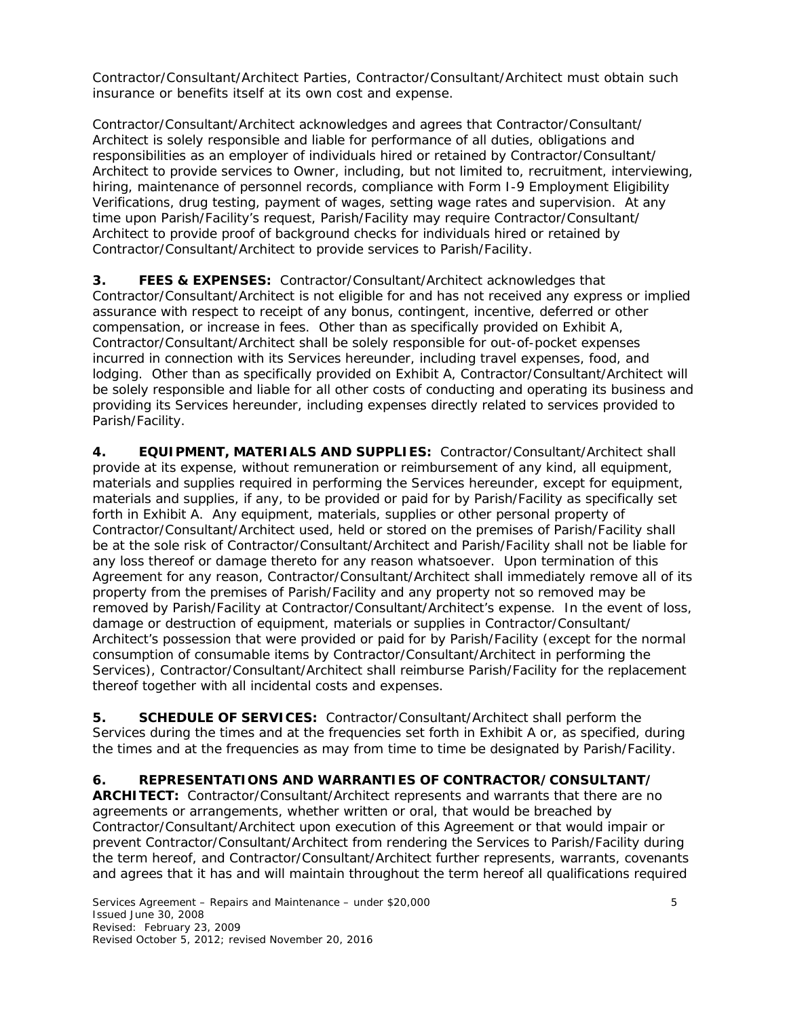Contractor/Consultant/Architect Parties, Contractor/Consultant/Architect must obtain such insurance or benefits itself at its own cost and expense.

Contractor/Consultant/Architect acknowledges and agrees that Contractor/Consultant/ Architect is solely responsible and liable for performance of all duties, obligations and responsibilities as an employer of individuals hired or retained by Contractor/Consultant/ Architect to provide services to Owner, including, but not limited to, recruitment, interviewing, hiring, maintenance of personnel records, compliance with Form I-9 Employment Eligibility Verifications, drug testing, payment of wages, setting wage rates and supervision. At any time upon Parish/Facility's request, Parish/Facility may require Contractor/Consultant/ Architect to provide proof of background checks for individuals hired or retained by Contractor/Consultant/Architect to provide services to Parish/Facility.

**3. FEES & EXPENSES:** Contractor/Consultant/Architect acknowledges that Contractor/Consultant/Architect is not eligible for and has not received any express or implied assurance with respect to receipt of any bonus, contingent, incentive, deferred or other compensation, or increase in fees. Other than as specifically provided on Exhibit A, Contractor/Consultant/Architect shall be solely responsible for out-of-pocket expenses incurred in connection with its Services hereunder, including travel expenses, food, and lodging. Other than as specifically provided on Exhibit A, Contractor/Consultant/Architect will be solely responsible and liable for all other costs of conducting and operating its business and providing its Services hereunder, including expenses directly related to services provided to Parish/Facility.

**4. EQUIPMENT, MATERIALS AND SUPPLIES:** Contractor/Consultant/Architect shall provide at its expense, without remuneration or reimbursement of any kind, all equipment, materials and supplies required in performing the Services hereunder, except for equipment, materials and supplies, if any, to be provided or paid for by Parish/Facility as specifically set forth in Exhibit A. Any equipment, materials, supplies or other personal property of Contractor/Consultant/Architect used, held or stored on the premises of Parish/Facility shall be at the sole risk of Contractor/Consultant/Architect and Parish/Facility shall not be liable for any loss thereof or damage thereto for any reason whatsoever. Upon termination of this Agreement for any reason, Contractor/Consultant/Architect shall immediately remove all of its property from the premises of Parish/Facility and any property not so removed may be removed by Parish/Facility at Contractor/Consultant/Architect's expense. In the event of loss, damage or destruction of equipment, materials or supplies in Contractor/Consultant/ Architect's possession that were provided or paid for by Parish/Facility (except for the normal consumption of consumable items by Contractor/Consultant/Architect in performing the Services), Contractor/Consultant/Architect shall reimburse Parish/Facility for the replacement thereof together with all incidental costs and expenses.

**5. SCHEDULE OF SERVICES:** Contractor/Consultant/Architect shall perform the Services during the times and at the frequencies set forth in Exhibit A or, as specified, during the times and at the frequencies as may from time to time be designated by Parish/Facility.

# **6. REPRESENTATIONS AND WARRANTIES OF CONTRACTOR/CONSULTANT/**

**ARCHITECT:** Contractor/Consultant/Architect represents and warrants that there are no agreements or arrangements, whether written or oral, that would be breached by Contractor/Consultant/Architect upon execution of this Agreement or that would impair or prevent Contractor/Consultant/Architect from rendering the Services to Parish/Facility during the term hereof, and Contractor/Consultant/Architect further represents, warrants, covenants and agrees that it has and will maintain throughout the term hereof all qualifications required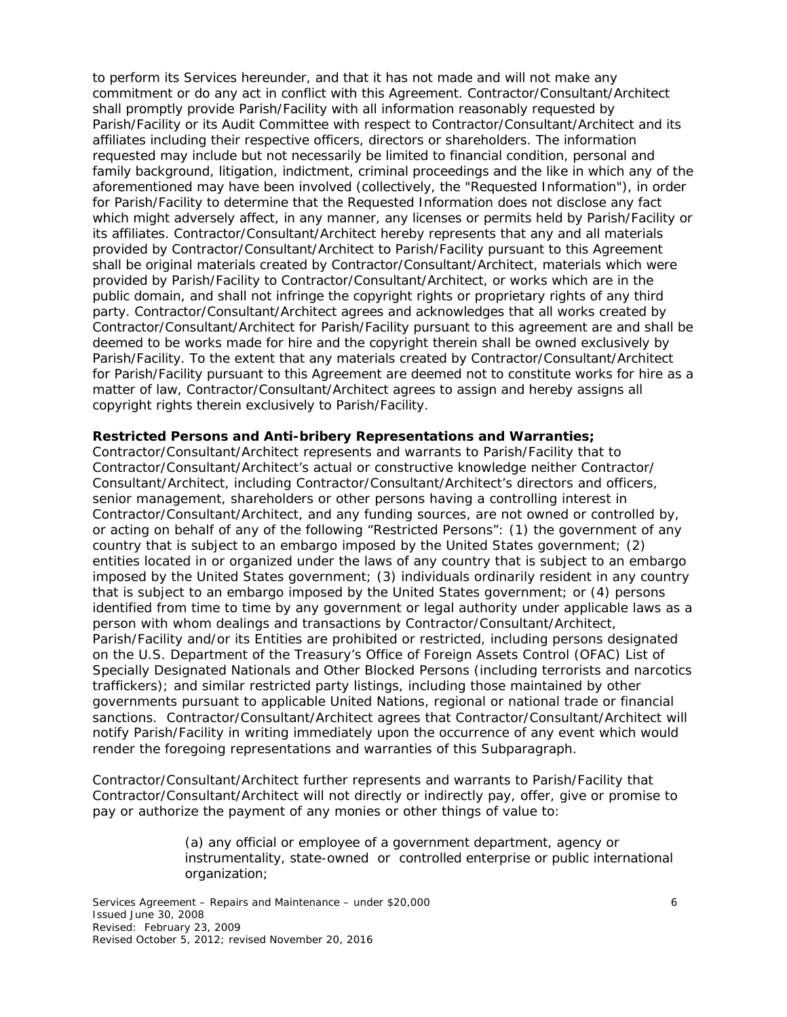to perform its Services hereunder, and that it has not made and will not make any commitment or do any act in conflict with this Agreement. Contractor/Consultant/Architect shall promptly provide Parish/Facility with all information reasonably requested by Parish/Facility or its Audit Committee with respect to Contractor/Consultant/Architect and its affiliates including their respective officers, directors or shareholders. The information requested may include but not necessarily be limited to financial condition, personal and family background, litigation, indictment, criminal proceedings and the like in which any of the aforementioned may have been involved (collectively, the "Requested Information"), in order for Parish/Facility to determine that the Requested Information does not disclose any fact which might adversely affect, in any manner, any licenses or permits held by Parish/Facility or its affiliates. Contractor/Consultant/Architect hereby represents that any and all materials provided by Contractor/Consultant/Architect to Parish/Facility pursuant to this Agreement shall be original materials created by Contractor/Consultant/Architect, materials which were provided by Parish/Facility to Contractor/Consultant/Architect, or works which are in the public domain, and shall not infringe the copyright rights or proprietary rights of any third party. Contractor/Consultant/Architect agrees and acknowledges that all works created by Contractor/Consultant/Architect for Parish/Facility pursuant to this agreement are and shall be deemed to be works made for hire and the copyright therein shall be owned exclusively by Parish/Facility. To the extent that any materials created by Contractor/Consultant/Architect for Parish/Facility pursuant to this Agreement are deemed not to constitute works for hire as a matter of law, Contractor/Consultant/Architect agrees to assign and hereby assigns all copyright rights therein exclusively to Parish/Facility.

#### **Restricted Persons and Anti-bribery Representations and Warranties;**

Contractor/Consultant/Architect represents and warrants to Parish/Facility that to Contractor/Consultant/Architect's actual or constructive knowledge neither Contractor/ Consultant/Architect, including Contractor/Consultant/Architect's directors and officers, senior management, shareholders or other persons having a controlling interest in Contractor/Consultant/Architect, and any funding sources, are not owned or controlled by, or acting on behalf of any of the following "Restricted Persons": (1) the government of any country that is subject to an embargo imposed by the United States government; (2) entities located in or organized under the laws of any country that is subject to an embargo imposed by the United States government; (3) individuals ordinarily resident in any country that is subject to an embargo imposed by the United States government; or (4) persons identified from time to time by any government or legal authority under applicable laws as a person with whom dealings and transactions by Contractor/Consultant/Architect, Parish/Facility and/or its Entities are prohibited or restricted, including persons designated on the U.S. Department of the Treasury's Office of Foreign Assets Control (OFAC) List of Specially Designated Nationals and Other Blocked Persons (including terrorists and narcotics traffickers); and similar restricted party listings, including those maintained by other governments pursuant to applicable United Nations, regional or national trade or financial sanctions. Contractor/Consultant/Architect agrees that Contractor/Consultant/Architect will notify Parish/Facility in writing immediately upon the occurrence of any event which would render the foregoing representations and warranties of this Subparagraph.

Contractor/Consultant/Architect further represents and warrants to Parish/Facility that Contractor/Consultant/Architect will not directly or indirectly pay, offer, give or promise to pay or authorize the payment of any monies or other things of value to:

> (a) any official or employee of a government department, agency or instrumentality, state-owned or controlled enterprise or public international organization;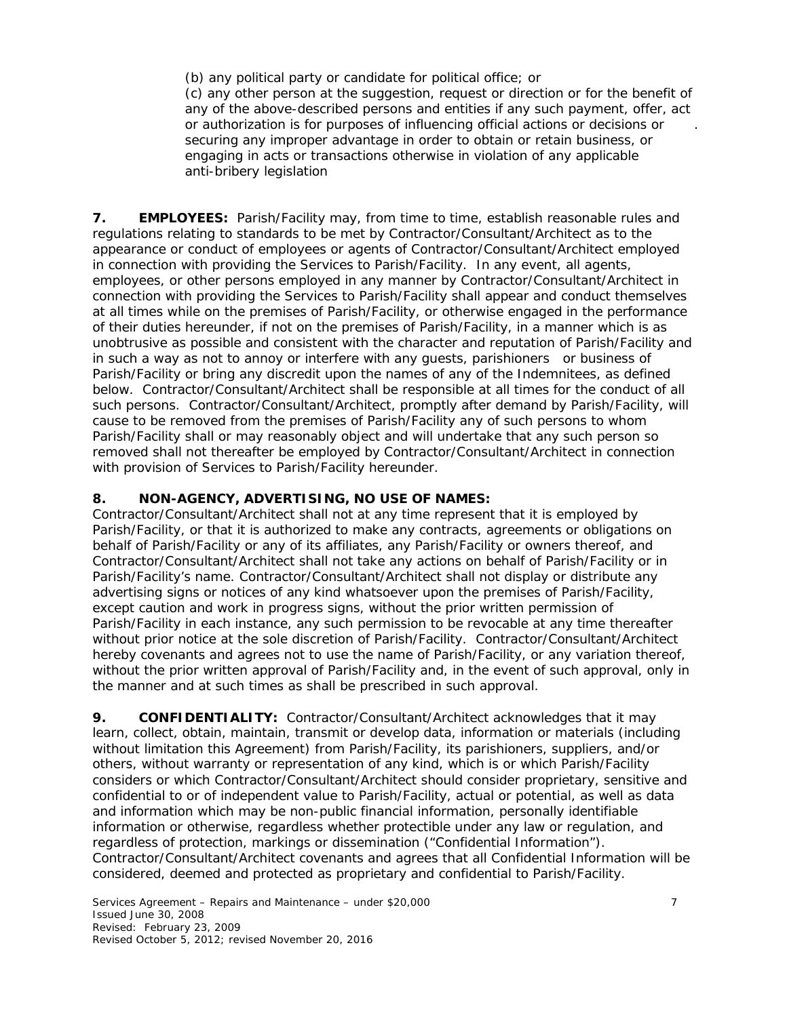(b) any political party or candidate for political office; or

(c) any other person at the suggestion, request or direction or for the benefit of any of the above-described persons and entities if any such payment, offer, act or authorization is for purposes of influencing official actions or decisions or . securing any improper advantage in order to obtain or retain business, or engaging in acts or transactions otherwise in violation of any applicable anti-bribery legislation

**7. EMPLOYEES:** Parish/Facility may, from time to time, establish reasonable rules and regulations relating to standards to be met by Contractor/Consultant/Architect as to the appearance or conduct of employees or agents of Contractor/Consultant/Architect employed in connection with providing the Services to Parish/Facility. In any event, all agents, employees, or other persons employed in any manner by Contractor/Consultant/Architect in connection with providing the Services to Parish/Facility shall appear and conduct themselves at all times while on the premises of Parish/Facility, or otherwise engaged in the performance of their duties hereunder, if not on the premises of Parish/Facility, in a manner which is as unobtrusive as possible and consistent with the character and reputation of Parish/Facility and in such a way as not to annoy or interfere with any guests, parishioners or business of Parish/Facility or bring any discredit upon the names of any of the Indemnitees, as defined below. Contractor/Consultant/Architect shall be responsible at all times for the conduct of all such persons. Contractor/Consultant/Architect, promptly after demand by Parish/Facility, will cause to be removed from the premises of Parish/Facility any of such persons to whom Parish/Facility shall or may reasonably object and will undertake that any such person so removed shall not thereafter be employed by Contractor/Consultant/Architect in connection with provision of Services to Parish/Facility hereunder.

## **8. NON-AGENCY, ADVERTISING, NO USE OF NAMES:**

Contractor/Consultant/Architect shall not at any time represent that it is employed by Parish/Facility, or that it is authorized to make any contracts, agreements or obligations on behalf of Parish/Facility or any of its affiliates, any Parish/Facility or owners thereof, and Contractor/Consultant/Architect shall not take any actions on behalf of Parish/Facility or in Parish/Facility's name. Contractor/Consultant/Architect shall not display or distribute any advertising signs or notices of any kind whatsoever upon the premises of Parish/Facility, except caution and work in progress signs, without the prior written permission of Parish/Facility in each instance, any such permission to be revocable at any time thereafter without prior notice at the sole discretion of Parish/Facility. Contractor/Consultant/Architect hereby covenants and agrees not to use the name of Parish/Facility, or any variation thereof, without the prior written approval of Parish/Facility and, in the event of such approval, only in the manner and at such times as shall be prescribed in such approval.

**9. CONFIDENTIALITY:** Contractor/Consultant/Architect acknowledges that it may learn, collect, obtain, maintain, transmit or develop data, information or materials (including without limitation this Agreement) from Parish/Facility, its parishioners, suppliers, and/or others, without warranty or representation of any kind, which is or which Parish/Facility considers or which Contractor/Consultant/Architect should consider proprietary, sensitive and confidential to or of independent value to Parish/Facility, actual or potential, as well as data and information which may be non-public financial information, personally identifiable information or otherwise, regardless whether protectible under any law or regulation, and regardless of protection, markings or dissemination ("Confidential Information"). Contractor/Consultant/Architect covenants and agrees that all Confidential Information will be considered, deemed and protected as proprietary and confidential to Parish/Facility.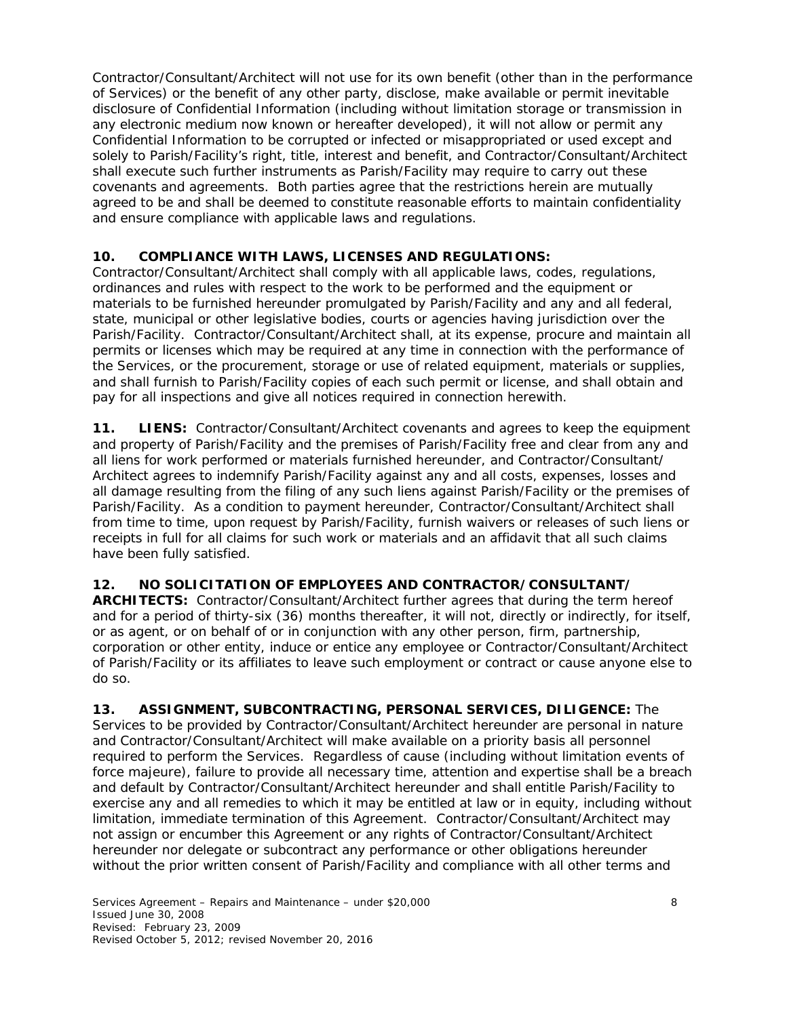Contractor/Consultant/Architect will not use for its own benefit (other than in the performance of Services) or the benefit of any other party, disclose, make available or permit inevitable disclosure of Confidential Information (including without limitation storage or transmission in any electronic medium now known or hereafter developed), it will not allow or permit any Confidential Information to be corrupted or infected or misappropriated or used except and solely to Parish/Facility's right, title, interest and benefit, and Contractor/Consultant/Architect shall execute such further instruments as Parish/Facility may require to carry out these covenants and agreements. Both parties agree that the restrictions herein are mutually agreed to be and shall be deemed to constitute reasonable efforts to maintain confidentiality and ensure compliance with applicable laws and regulations.

## **10. COMPLIANCE WITH LAWS, LICENSES AND REGULATIONS:**

Contractor/Consultant/Architect shall comply with all applicable laws, codes, regulations, ordinances and rules with respect to the work to be performed and the equipment or materials to be furnished hereunder promulgated by Parish/Facility and any and all federal, state, municipal or other legislative bodies, courts or agencies having jurisdiction over the Parish/Facility. Contractor/Consultant/Architect shall, at its expense, procure and maintain all permits or licenses which may be required at any time in connection with the performance of the Services, or the procurement, storage or use of related equipment, materials or supplies, and shall furnish to Parish/Facility copies of each such permit or license, and shall obtain and pay for all inspections and give all notices required in connection herewith.

**11. LIENS:** Contractor/Consultant/Architect covenants and agrees to keep the equipment and property of Parish/Facility and the premises of Parish/Facility free and clear from any and all liens for work performed or materials furnished hereunder, and Contractor/Consultant/ Architect agrees to indemnify Parish/Facility against any and all costs, expenses, losses and all damage resulting from the filing of any such liens against Parish/Facility or the premises of Parish/Facility. As a condition to payment hereunder, Contractor/Consultant/Architect shall from time to time, upon request by Parish/Facility, furnish waivers or releases of such liens or receipts in full for all claims for such work or materials and an affidavit that all such claims have been fully satisfied.

## **12. NO SOLICITATION OF EMPLOYEES AND CONTRACTOR/CONSULTANT/**

**ARCHITECTS:** Contractor/Consultant/Architect further agrees that during the term hereof and for a period of thirty-six (36) months thereafter, it will not, directly or indirectly, for itself, or as agent, or on behalf of or in conjunction with any other person, firm, partnership, corporation or other entity, induce or entice any employee or Contractor/Consultant/Architect of Parish/Facility or its affiliates to leave such employment or contract or cause anyone else to do so.

**13. ASSIGNMENT, SUBCONTRACTING, PERSONAL SERVICES, DILIGENCE:** The Services to be provided by Contractor/Consultant/Architect hereunder are personal in nature and Contractor/Consultant/Architect will make available on a priority basis all personnel required to perform the Services. Regardless of cause (including without limitation events of *force majeure*), failure to provide all necessary time, attention and expertise shall be a breach and default by Contractor/Consultant/Architect hereunder and shall entitle Parish/Facility to exercise any and all remedies to which it may be entitled at law or in equity, including without limitation, immediate termination of this Agreement. Contractor/Consultant/Architect may not assign or encumber this Agreement or any rights of Contractor/Consultant/Architect hereunder nor delegate or subcontract any performance or other obligations hereunder without the prior written consent of Parish/Facility and compliance with all other terms and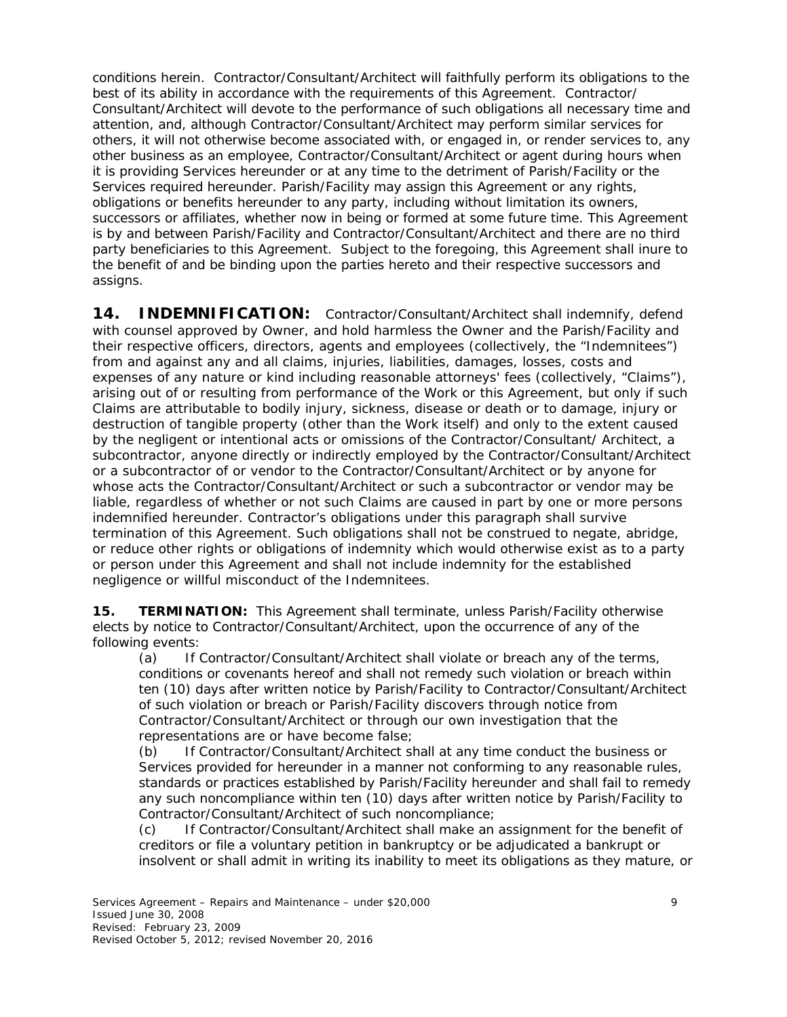conditions herein. Contractor/Consultant/Architect will faithfully perform its obligations to the best of its ability in accordance with the requirements of this Agreement. Contractor/ Consultant/Architect will devote to the performance of such obligations all necessary time and attention, and, although Contractor/Consultant/Architect may perform similar services for others, it will not otherwise become associated with, or engaged in, or render services to, any other business as an employee, Contractor/Consultant/Architect or agent during hours when it is providing Services hereunder or at any time to the detriment of Parish/Facility or the Services required hereunder. Parish/Facility may assign this Agreement or any rights, obligations or benefits hereunder to any party, including without limitation its owners, successors or affiliates, whether now in being or formed at some future time. This Agreement is by and between Parish/Facility and Contractor/Consultant/Architect and there are no third party beneficiaries to this Agreement. Subject to the foregoing, this Agreement shall inure to the benefit of and be binding upon the parties hereto and their respective successors and assigns.

**14. INDEMNIFICATION:** Contractor/Consultant/Architect shall indemnify, defend with counsel approved by Owner, and hold harmless the Owner and the Parish/Facility and their respective officers, directors, agents and employees (collectively, the "Indemnitees") from and against any and all claims, injuries, liabilities, damages, losses, costs and expenses of any nature or kind including reasonable attorneys' fees (collectively, "Claims"), arising out of or resulting from performance of the Work or this Agreement, but only if such Claims are attributable to bodily injury, sickness, disease or death or to damage, injury or destruction of tangible property (other than the Work itself) and only to the extent caused by the negligent or intentional acts or omissions of the Contractor/Consultant/ Architect, a subcontractor, anyone directly or indirectly employed by the Contractor/Consultant/Architect or a subcontractor of or vendor to the Contractor/Consultant/Architect or by anyone for whose acts the Contractor/Consultant/Architect or such a subcontractor or vendor may be liable, regardless of whether or not such Claims are caused in part by one or more persons indemnified hereunder. Contractor's obligations under this paragraph shall survive termination of this Agreement. Such obligations shall not be construed to negate, abridge, or reduce other rights or obligations of indemnity which would otherwise exist as to a party or person under this Agreement and shall not include indemnity for the established negligence or willful misconduct of the Indemnitees.

**15. TERMINATION:** This Agreement shall terminate, unless Parish/Facility otherwise elects by notice to Contractor/Consultant/Architect, upon the occurrence of any of the following events:

 (a) If Contractor/Consultant/Architect shall violate or breach any of the terms, conditions or covenants hereof and shall not remedy such violation or breach within ten (10) days after written notice by Parish/Facility to Contractor/Consultant/Architect of such violation or breach or Parish/Facility discovers through notice from Contractor/Consultant/Architect or through our own investigation that the representations are or have become false;

 (b) If Contractor/Consultant/Architect shall at any time conduct the business or Services provided for hereunder in a manner not conforming to any reasonable rules, standards or practices established by Parish/Facility hereunder and shall fail to remedy any such noncompliance within ten (10) days after written notice by Parish/Facility to Contractor/Consultant/Architect of such noncompliance;

 (c) If Contractor/Consultant/Architect shall make an assignment for the benefit of creditors or file a voluntary petition in bankruptcy or be adjudicated a bankrupt or insolvent or shall admit in writing its inability to meet its obligations as they mature, or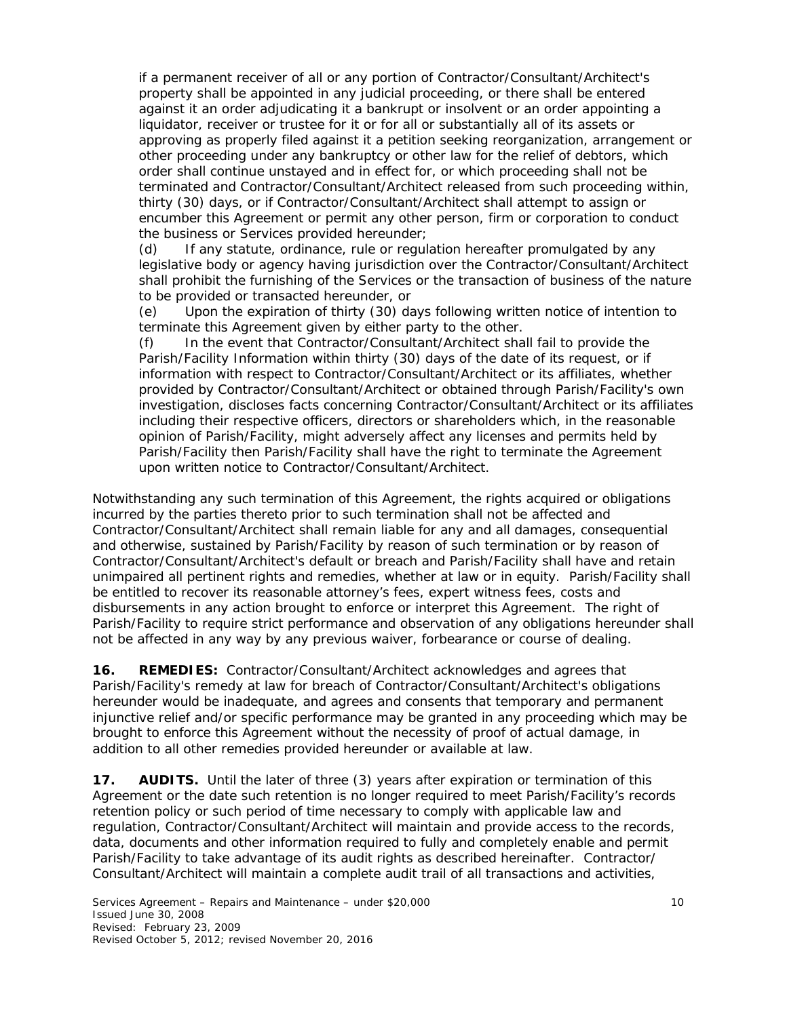if a permanent receiver of all or any portion of Contractor/Consultant/Architect's property shall be appointed in any judicial proceeding, or there shall be entered against it an order adjudicating it a bankrupt or insolvent or an order appointing a liquidator, receiver or trustee for it or for all or substantially all of its assets or approving as properly filed against it a petition seeking reorganization, arrangement or other proceeding under any bankruptcy or other law for the relief of debtors, which order shall continue unstayed and in effect for, or which proceeding shall not be terminated and Contractor/Consultant/Architect released from such proceeding within, thirty (30) days, or if Contractor/Consultant/Architect shall attempt to assign or encumber this Agreement or permit any other person, firm or corporation to conduct the business or Services provided hereunder;

 (d) If any statute, ordinance, rule or regulation hereafter promulgated by any legislative body or agency having jurisdiction over the Contractor/Consultant/Architect shall prohibit the furnishing of the Services or the transaction of business of the nature to be provided or transacted hereunder, or

 (e) Upon the expiration of thirty (30) days following written notice of intention to terminate this Agreement given by either party to the other.

 (f) In the event that Contractor/Consultant/Architect shall fail to provide the Parish/Facility Information within thirty (30) days of the date of its request, or if information with respect to Contractor/Consultant/Architect or its affiliates, whether provided by Contractor/Consultant/Architect or obtained through Parish/Facility's own investigation, discloses facts concerning Contractor/Consultant/Architect or its affiliates including their respective officers, directors or shareholders which, in the reasonable opinion of Parish/Facility, might adversely affect any licenses and permits held by Parish/Facility then Parish/Facility shall have the right to terminate the Agreement upon written notice to Contractor/Consultant/Architect.

Notwithstanding any such termination of this Agreement, the rights acquired or obligations incurred by the parties thereto prior to such termination shall not be affected and Contractor/Consultant/Architect shall remain liable for any and all damages, consequential and otherwise, sustained by Parish/Facility by reason of such termination or by reason of Contractor/Consultant/Architect's default or breach and Parish/Facility shall have and retain unimpaired all pertinent rights and remedies, whether at law or in equity. Parish/Facility shall be entitled to recover its reasonable attorney's fees, expert witness fees, costs and disbursements in any action brought to enforce or interpret this Agreement. The right of Parish/Facility to require strict performance and observation of any obligations hereunder shall not be affected in any way by any previous waiver, forbearance or course of dealing.

**16. REMEDIES:** Contractor/Consultant/Architect acknowledges and agrees that Parish/Facility's remedy at law for breach of Contractor/Consultant/Architect's obligations hereunder would be inadequate, and agrees and consents that temporary and permanent injunctive relief and/or specific performance may be granted in any proceeding which may be brought to enforce this Agreement without the necessity of proof of actual damage, in addition to all other remedies provided hereunder or available at law.

**17.** AUDITS. Until the later of three (3) years after expiration or termination of this Agreement or the date such retention is no longer required to meet Parish/Facility's records retention policy or such period of time necessary to comply with applicable law and regulation, Contractor/Consultant/Architect will maintain and provide access to the records, data, documents and other information required to fully and completely enable and permit Parish/Facility to take advantage of its audit rights as described hereinafter. Contractor/ Consultant/Architect will maintain a complete audit trail of all transactions and activities,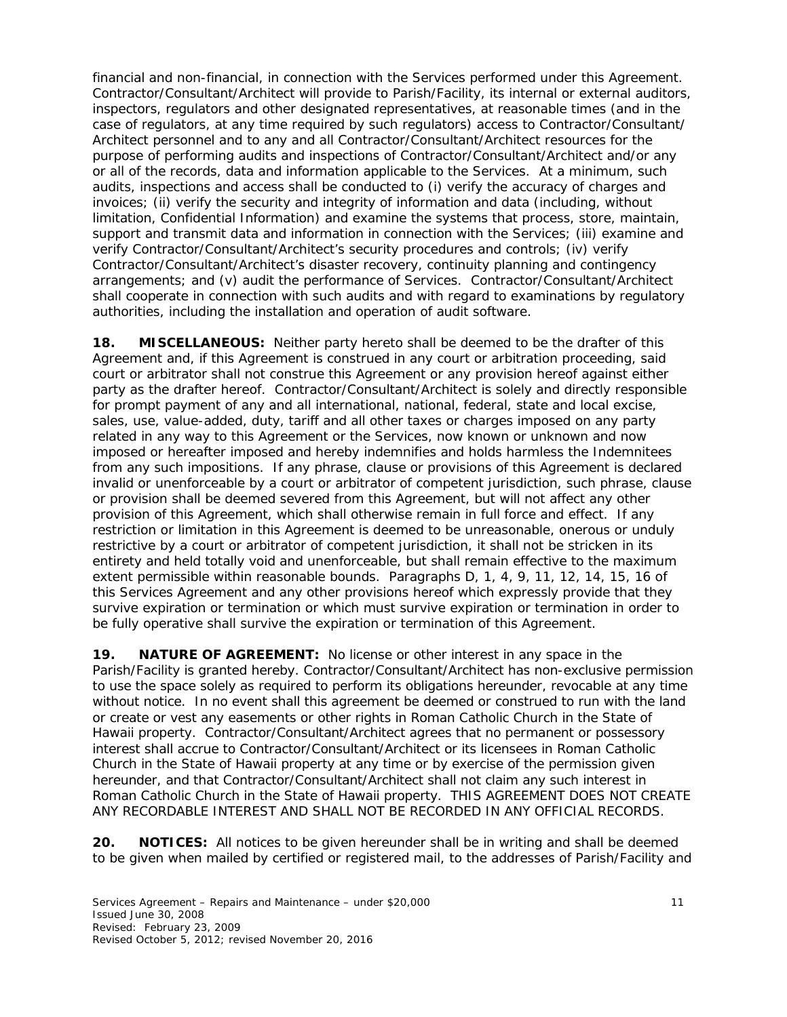financial and non-financial, in connection with the Services performed under this Agreement. Contractor/Consultant/Architect will provide to Parish/Facility, its internal or external auditors, inspectors, regulators and other designated representatives, at reasonable times (and in the case of regulators, at any time required by such regulators) access to Contractor/Consultant/ Architect personnel and to any and all Contractor/Consultant/Architect resources for the purpose of performing audits and inspections of Contractor/Consultant/Architect and/or any or all of the records, data and information applicable to the Services. At a minimum, such audits, inspections and access shall be conducted to (i) verify the accuracy of charges and invoices; (ii) verify the security and integrity of information and data (including, without limitation, Confidential Information) and examine the systems that process, store, maintain, support and transmit data and information in connection with the Services; (iii) examine and verify Contractor/Consultant/Architect's security procedures and controls; (iv) verify Contractor/Consultant/Architect's disaster recovery, continuity planning and contingency arrangements; and (v) audit the performance of Services. Contractor/Consultant/Architect shall cooperate in connection with such audits and with regard to examinations by regulatory authorities, including the installation and operation of audit software.

**18. MISCELLANEOUS:** Neither party hereto shall be deemed to be the drafter of this Agreement and, if this Agreement is construed in any court or arbitration proceeding, said court or arbitrator shall not construe this Agreement or any provision hereof against either party as the drafter hereof. Contractor/Consultant/Architect is solely and directly responsible for prompt payment of any and all international, national, federal, state and local excise, sales, use, value-added, duty, tariff and all other taxes or charges imposed on any party related in any way to this Agreement or the Services, now known or unknown and now imposed or hereafter imposed and hereby indemnifies and holds harmless the Indemnitees from any such impositions. If any phrase, clause or provisions of this Agreement is declared invalid or unenforceable by a court or arbitrator of competent jurisdiction, such phrase, clause or provision shall be deemed severed from this Agreement, but will not affect any other provision of this Agreement, which shall otherwise remain in full force and effect. If any restriction or limitation in this Agreement is deemed to be unreasonable, onerous or unduly restrictive by a court or arbitrator of competent jurisdiction, it shall not be stricken in its entirety and held totally void and unenforceable, but shall remain effective to the maximum extent permissible within reasonable bounds. Paragraphs D, 1, 4, 9, 11, 12, 14, 15, 16 of this Services Agreement and any other provisions hereof which expressly provide that they survive expiration or termination or which must survive expiration or termination in order to be fully operative shall survive the expiration or termination of this Agreement.

**19. NATURE OF AGREEMENT:** No license or other interest in any space in the Parish/Facility is granted hereby. Contractor/Consultant/Architect has non-exclusive permission to use the space solely as required to perform its obligations hereunder, revocable at any time without notice. In no event shall this agreement be deemed or construed to run with the land or create or vest any easements or other rights in Roman Catholic Church in the State of Hawaii property. Contractor/Consultant/Architect agrees that no permanent or possessory interest shall accrue to Contractor/Consultant/Architect or its licensees in Roman Catholic Church in the State of Hawaii property at any time or by exercise of the permission given hereunder, and that Contractor/Consultant/Architect shall not claim any such interest in Roman Catholic Church in the State of Hawaii property. THIS AGREEMENT DOES NOT CREATE ANY RECORDABLE INTEREST AND SHALL NOT BE RECORDED IN ANY OFFICIAL RECORDS.

**20. NOTICES:** All notices to be given hereunder shall be in writing and shall be deemed to be given when mailed by certified or registered mail, to the addresses of Parish/Facility and